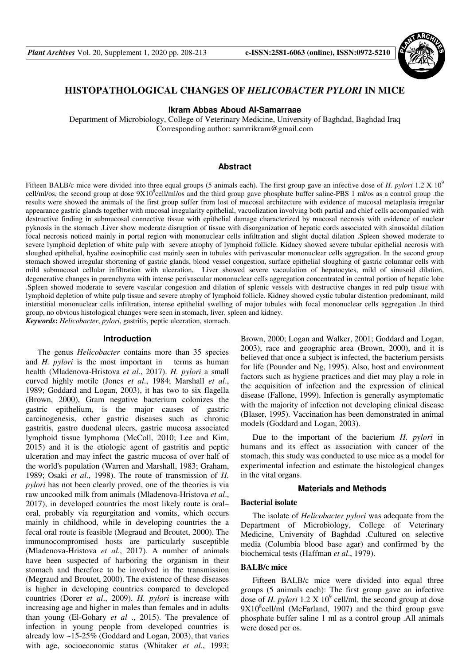

# **HISTOPATHOLOGICAL CHANGES OF** *HELICOBACTER PYLORI* **IN MICE**

**Ikram Abbas Aboud Al-Samarraae** 

Department of Microbiology, College of Veterinary Medicine, University of Baghdad, Baghdad Iraq Corresponding author: samrrikram@gmail.com

### **Abstract**

Fifteen BALB/c mice were divided into three equal groups (5 animals each). The first group gave an infective dose of *H. pylori* 1.2 X 10<sup>9</sup> cell/ml/os, the second group at dose  $9X10^8$ cell/ml/os and the third group gave phosphate buffer saline-PBS 1 ml/os as a control group .the results were showed the animals of the first group suffer from lost of mucosal architecture with evidence of mucosal metaplasia irregular appearance gastric glands together with mucosal irregularity epithelial, vacuolization involving both partial and chief cells accompanied with destructive finding in submucosal connective tissue with epithelial damage characterized by mucosal necrosis with evidence of nuclear pyknosis in the stomach .Liver show moderate disruption of tissue with disorganization of hepatic cords associated with sinusoidal dilation focal necrosis noticed mainly in portal region with mononuclear cells infiltration and slight ductal dilation .Spleen showed moderate to severe lymphoid depletion of white pulp with severe atrophy of lymphoid follicle. Kidney showed severe tubular epithelial necrosis with sloughed epithelial, hyaline eosinophilic cast mainly seen in tubules with perivascular mononuclear cells aggregation. In the second group stomach showed irregular shortening of gastric glands, blood vessel congestion, surface epithelial sloughing of gastric columnar cells with mild submucosal cellular infiltration with ulceration, Liver showed severe vacoulation of hepatocytes, mild of sinusoid dilation, degenerative changes in parenchyma with intense perivascular mononuclear cells aggregation concentrated in central portion of hepatic lobe .Spleen showed moderate to severe vascular congestion and dilation of splenic vessels with destructive changes in red pulp tissue with lymphoid depletion of white pulp tissue and severe atrophy of lymphoid follicle. Kidney showed cystic tubular distention predominant, mild interstitial mononuclear cells infiltration, intense epithelial swelling of major tubules with focal mononuclear cells aggregation .In third group, no obvious histological changes were seen in stomach, liver, spleen and kidney. *Keywords***:** *Helicobacter*, *pylori*, gastritis, peptic ulceration, stomach.

#### **Introduction**

The genus *Helicobacter* contains more than 35 species and *H. pylori* is the most important in terms as human health (Mladenova-Hristova *et al*., 2017). *H. pylori* a small curved highly motile (Jones *et al*., 1984; Marshall *et al*., 1989; Goddard and Logan, 2003), it has two to six flagella (Brown, 2000), Gram negative bacterium colonizes the gastric epithelium, is the major causes of gastric carcinogenesis, other gastric diseases such as chronic gastritis, gastro duodenal ulcers, gastric mucosa associated lymphoid tissue lymphoma (McColl, 2010; Lee and Kim, 2015) and it is the etiologic agent of gastritis and peptic ulceration and may infect the gastric mucosa of over half of the world's population (Warren and Marshall, 1983; Graham, 1989; Osaki *et al*., 1998). The route of transmission of *H. pylori* has not been clearly proved, one of the theories is via raw uncooked milk from animals (Mladenova-Hristova *et al*., 2017), in developed countries the most likely route is oral– oral, probably via regurgitation and vomits, which occurs mainly in childhood, while in developing countries the a fecal oral route is feasible (Megraud and Broutet, 2000). The immunocompromised hosts are particularly susceptible (Mladenova-Hristova *et al*., 2017). A number of animals have been suspected of harboring the organism in their stomach and therefore to be involved in the transmission (Megraud and Broutet, 2000). The existence of these diseases is higher in developing countries compared to developed countries (Dorer *et al*., 2009). *H. pylori* is increase with increasing age and higher in males than females and in adults than young (El-Gohary *et al* ., 2015). The prevalence of infection in young people from developed countries is already low ~15-25% (Goddard and Logan, 2003), that varies with age, socioeconomic status (Whitaker *et al*., 1993;

Brown, 2000; Logan and Walker, 2001; Goddard and Logan, 2003), race and geographic area (Brown, 2000), and it is believed that once a subject is infected, the bacterium persists for life (Pounder and Ng, 1995). Also, host and environment factors such as hygiene practices and diet may play a role in the acquisition of infection and the expression of clinical disease (Fallone, 1999). Infection is generally asymptomatic with the majority of infection not developing clinical disease (Blaser, 1995). Vaccination has been demonstrated in animal models (Goddard and Logan, 2003).

Due to the important of the bacterium *H. pylori* in humans and its effect as association with cancer of the stomach, this study was conducted to use mice as a model for experimental infection and estimate the histological changes in the vital organs.

## **Materials and Methods**

#### **Bacterial isolate**

The isolate of *Helicobacter pylori* was adequate from the Department of Microbiology, College of Veterinary Medicine, University of Baghdad .Cultured on selective media (Columbia blood base agar) and confirmed by the biochemical tests (Haffman *et al*., 1979).

## **BALB/c mice**

Fifteen BALB/c mice were divided into equal three groups (5 animals each): The first group gave an infective dose of  $H$ . *pylori* 1.2  $X$  10<sup>9</sup> cell/ml, the second group at dose  $9X10<sup>8</sup>$ cell/ml (McFarland, 1907) and the third group gave phosphate buffer saline 1 ml as a control group .All animals were dosed per os.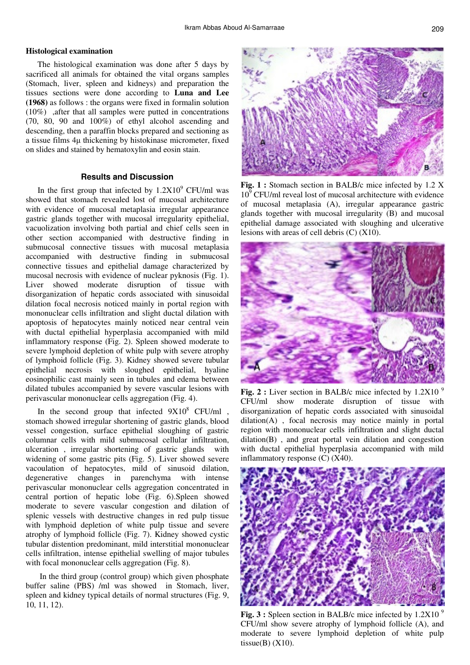## **Histological examination**

The histological examination was done after 5 days by sacrificed all animals for obtained the vital organs samples (Stomach, liver, spleen and kidneys) and preparation the tissues sections were done according to **Luna and Lee (1968)** as follows : the organs were fixed in formalin solution (10%) ,after that all samples were putted in concentrations (70, 80, 90 and 100%) of ethyl alcohol ascending and descending, then a paraffin blocks prepared and sectioning as a tissue films 4µ thickening by histokinase micrometer, fixed on slides and stained by hematoxylin and eosin stain.

## **Results and Discussion**

In the first group that infected by  $1.2X10<sup>9</sup>$  CFU/ml was showed that stomach revealed lost of mucosal architecture with evidence of mucosal metaplasia irregular appearance gastric glands together with mucosal irregularity epithelial, vacuolization involving both partial and chief cells seen in other section accompanied with destructive finding in submucosal connective tissues with mucosal metaplasia accompanied with destructive finding in submucosal connective tissues and epithelial damage characterized by mucosal necrosis with evidence of nuclear pyknosis (Fig. 1). Liver showed moderate disruption of tissue with disorganization of hepatic cords associated with sinusoidal dilation focal necrosis noticed mainly in portal region with mononuclear cells infiltration and slight ductal dilation with apoptosis of hepatocytes mainly noticed near central vein with ductal epithelial hyperplasia accompanied with mild inflammatory response (Fig. 2). Spleen showed moderate to severe lymphoid depletion of white pulp with severe atrophy of lymphoid follicle (Fig. 3). Kidney showed severe tubular epithelial necrosis with sloughed epithelial, hyaline eosinophilic cast mainly seen in tubules and edema between dilated tubules accompanied by severe vascular lesions with perivascular mononuclear cells aggregation (Fig. 4).

In the second group that infected  $9X10^8$  CFU/ml, stomach showed irregular shortening of gastric glands, blood vessel congestion, surface epithelial sloughing of gastric columnar cells with mild submucosal cellular infiltration, ulceration , irregular shortening of gastric glands with widening of some gastric pits (Fig. 5). Liver showed severe vacoulation of hepatocytes, mild of sinusoid dilation, degenerative changes in parenchyma with intense perivascular mononuclear cells aggregation concentrated in central portion of hepatic lobe (Fig. 6).Spleen showed moderate to severe vascular congestion and dilation of splenic vessels with destructive changes in red pulp tissue with lymphoid depletion of white pulp tissue and severe atrophy of lymphoid follicle (Fig. 7). Kidney showed cystic tubular distention predominant, mild interstitial mononuclear cells infiltration, intense epithelial swelling of major tubules with focal mononuclear cells aggregation (Fig. 8).

In the third group (control group) which given phosphate buffer saline (PBS) /ml was showed in Stomach, liver, spleen and kidney typical details of normal structures (Fig. 9, 10, 11, 12).



**Fig. 1 :** Stomach section in BALB/c mice infected by 1.2 X  $10<sup>9</sup>$  CFU/ml reveal lost of mucosal architecture with evidence of mucosal metaplasia (A), irregular appearance gastric glands together with mucosal irregularity (B) and mucosal epithelial damage associated with sloughing and ulcerative lesions with areas of cell debris (C) (X10).



**Fig. 2 :** Liver section in BALB/c mice infected by 1.2X10<sup>9</sup> CFU/ml show moderate disruption of tissue with disorganization of hepatic cords associated with sinusoidal dilation(A) , focal necrosis may notice mainly in portal region with mononuclear cells infiltration and slight ductal dilation(B) , and great portal vein dilation and congestion with ductal epithelial hyperplasia accompanied with mild inflammatory response (C) (X40).



**Fig. 3 :** Spleen section in BALB/c mice infected by 1.2X10<sup>9</sup> CFU/ml show severe atrophy of lymphoid follicle (A), and moderate to severe lymphoid depletion of white pulp tissue $(B)$  (X10).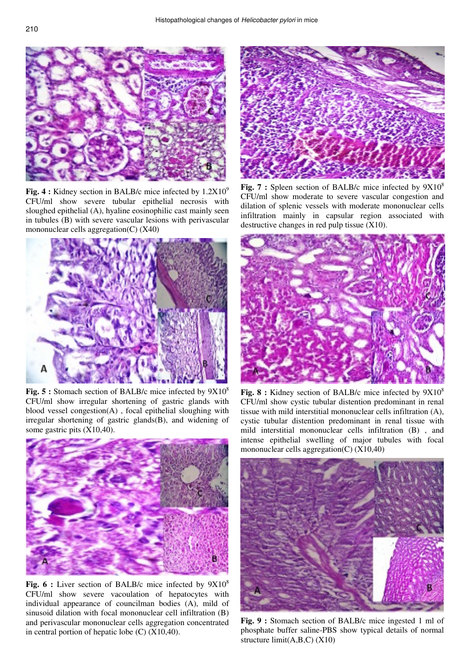

**Fig. 4 :** Kidney section in BALB/c mice infected by  $1.2X10^9$ CFU/ml show severe tubular epithelial necrosis with sloughed epithelial (A), hyaline eosinophilic cast mainly seen in tubules (B) with severe vascular lesions with perivascular mononuclear cells aggregation(C) (X40)



**Fig. 5 :** Stomach section of BALB/c mice infected by  $9X10^8$ CFU/ml show irregular shortening of gastric glands with blood vessel congestion(A) , focal epithelial sloughing with irregular shortening of gastric glands(B), and widening of some gastric pits (X10,40).



**Fig. 6 :** Liver section of BALB/c mice infected by  $9X10^8$ CFU/ml show severe vacoulation of hepatocytes with individual appearance of councilman bodies (A), mild of sinusoid dilation with focal mononuclear cell infiltration (B) and perivascular mononuclear cells aggregation concentrated in central portion of hepatic lobe  $(C)$   $(X10,40)$ .



**Fig. 7 :** Spleen section of BALB/c mice infected by  $9X10^8$ CFU/ml show moderate to severe vascular congestion and dilation of splenic vessels with moderate mononuclear cells infiltration mainly in capsular region associated with destructive changes in red pulp tissue (X10).



**Fig. 8 :** Kidney section of BALB/c mice infected by  $9X10^8$ CFU/ml show cystic tubular distention predominant in renal tissue with mild interstitial mononuclear cells infiltration (A), cystic tubular distention predominant in renal tissue with mild interstitial mononuclear cells infiltration (B) , and intense epithelial swelling of major tubules with focal mononuclear cells aggregation(C) (X10,40)



**Fig. 9 :** Stomach section of BALB/c mice ingested 1 ml of phosphate buffer saline-PBS show typical details of normal structure limit(A,B,C) (X10)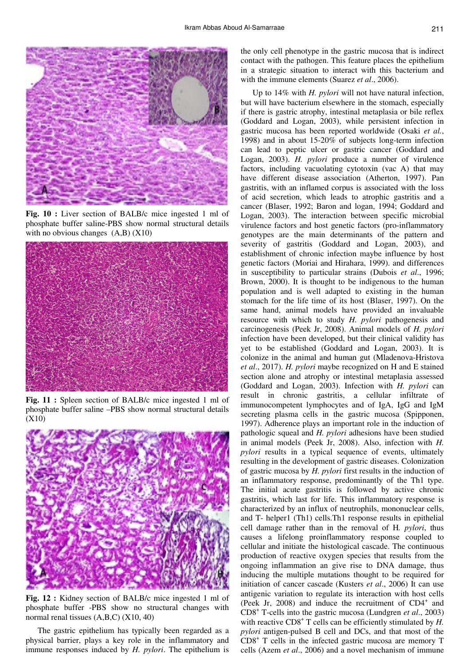

**Fig. 10 :** Liver section of BALB/c mice ingested 1 ml of phosphate buffer saline-PBS show normal structural details with no obvious changes  $(A,B)$   $(X10)$ 



**Fig. 11 :** Spleen section of BALB/c mice ingested 1 ml of phosphate buffer saline –PBS show normal structural details (X10)



**Fig. 12 :** Kidney section of BALB/c mice ingested 1 ml of phosphate buffer -PBS show no structural changes with normal renal tissues (A,B,C) (X10, 40)

The gastric epithelium has typically been regarded as a physical barrier, plays a key role in the inflammatory and immune responses induced by *H. pylori*. The epithelium is

the only cell phenotype in the gastric mucosa that is indirect contact with the pathogen. This feature places the epithelium in a strategic situation to interact with this bacterium and with the immune elements (Suarez *et al*., 2006).

Up to 14% with *H. pylori* will not have natural infection, but will have bacterium elsewhere in the stomach, especially if there is gastric atrophy, intestinal metaplasia or bile reflex (Goddard and Logan, 2003), while persistent infection in gastric mucosa has been reported worldwide (Osaki *et al.*, 1998) and in about 15-20% of subjects long-term infection can lead to peptic ulcer or gastric cancer (Goddard and Logan, 2003). *H. pylori* produce a number of virulence factors, including vacuolating cytotoxin (vac A) that may have different disease association (Atherton, 1997). Pan gastritis, with an inflamed corpus is associated with the loss of acid secretion, which leads to atrophic gastritis and a cancer (Blaser, 1992; Baron and logan, 1994; Goddard and Logan, 2003). The interaction between specific microbial virulence factors and host genetic factors (pro-inflammatory genotypes are the main determinants of the pattern and severity of gastritis (Goddard and Logan, 2003), and establishment of chronic infection maybe influence by host genetic factors (Moriai and Hirahara, 1999). and differences in susceptibility to particular strains (Dubois *et al*., 1996; Brown, 2000). It is thought to be indigenous to the human population and is well adapted to existing in the human stomach for the life time of its host (Blaser, 1997). On the same hand, animal models have provided an invaluable resource with which to study *H. pylori* pathogenesis and carcinogenesis (Peek Jr, 2008). Animal models of *H. pylori*  infection have been developed, but their clinical validity has yet to be established (Goddard and Logan, 2003). It is colonize in the animal and human gut (Mladenova-Hristova *et al*., 2017). *H. pylori* maybe recognized on H and E stained section alone and atrophy or intestinal metaplasia assessed (Goddard and Logan, 2003). Infection with *H. pylori* can result in chronic gastritis, a cellular infiltrate of immunocompetent lymphocytes and of IgA, IgG and IgM secreting plasma cells in the gastric mucosa (Spipponen, 1997). Adherence plays an important role in the induction of pathologic squeal and *H. pylori* adhesions have been studied in animal models (Peek Jr, 2008). Also, infection with *H. pylori* results in a typical sequence of events, ultimately resulting in the development of gastric diseases. Colonization of gastric mucosa by *H. pylori* first results in the induction of an inflammatory response, predominantly of the Th1 type. The initial acute gastritis is followed by active chronic gastritis, which last for life. This inflammatory response is characterized by an influx of neutrophils, mononuclear cells, and T- helper1 (Th1) cells.Th1 response results in epithelial cell damage rather than in the removal of H*. pylori*, thus causes a lifelong proinflammatory response coupled to cellular and initiate the histological cascade. The continuous production of reactive oxygen species that results from the ongoing inflammation an give rise to DNA damage, thus inducing the multiple mutations thought to be required for initiation of cancer cascade (Kusters *et al*., 2006) It can use antigenic variation to regulate its interaction with host cells (Peek Jr, 2008) and induce the recruitment of CD4<sup>+</sup> and CD8<sup>+</sup> T-cells into the gastric mucosa (Lundgren *et al*., 2003) with reactive CD8<sup>+</sup> T cells can be efficiently stimulated by *H*. *pylori* antigen-pulsed B cell and DCs, and that most of the CD8<sup>+</sup> T cells in the infected gastric mucosa are memory T cells (Azem *et al*., 2006) and a novel mechanism of immune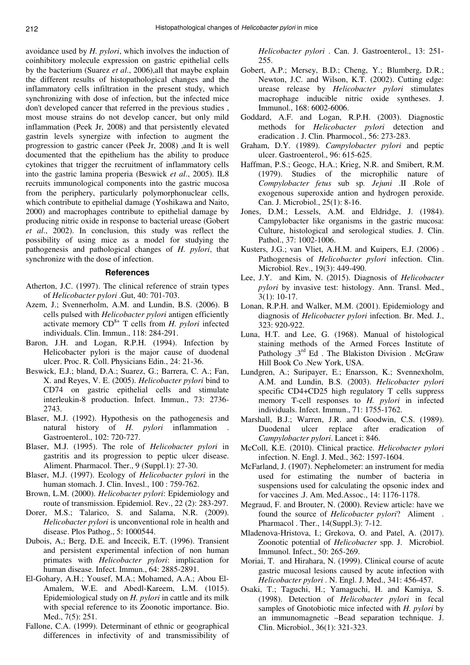avoidance used by *H. pylori*, which involves the induction of coinhibitory molecule expression on gastric epithelial cells by the bacterium (Suarez *et al*., 2006),all that maybe explain the different results of histopathological changes and the inflammatory cells infiltration in the present study, which synchronizing with dose of infection, but the infected mice don't developed cancer that referred in the previous studies , most mouse strains do not develop cancer, but only mild inflammation (Peek Jr, 2008) and that persistently elevated gastrin levels synergize with infection to augment the progression to gastric cancer (Peek Jr, 2008) ,and It is well documented that the epithelium has the ability to produce cytokines that trigger the recruitment of inflammatory cells into the gastric lamina properia (Beswick *et al*., 2005). IL8 recruits immunological components into the gastric mucosa from the periphery, particularly polymorphonuclear cells, which contribute to epithelial damage (Yoshikawa and Naito, 2000) and macrophages contribute to epithelial damage by producing nitric oxide in response to bacterial urease (Gobert *et al*., 2002). In conclusion, this study was reflect the possibility of using mice as a model for studying the pathogenesis and pathological changes of *H. pylori*, that synchronize with the dose of infection.

## **References**

- Atherton, J.C. (1997). The clinical reference of strain types of *Helicobacter pylori* .Gut, 40: 701-703.
- Azem, J.; Svennerholm, A.M. and Lundin, B.S. (2006). B cells pulsed with *Helicobacter pylori* antigen efficiently activate memory  $CD^{8+}$  T cells from *H. pylori* infected individuals. Clin. Immun., 118: 284-291.
- Baron, J.H. and Logan, R.P.H. (1994). Infection by Helicobacter pylori is the major cause of duodenal ulcer. Proc. R. Coll. Physicians Edin., 24: 21-36.
- Beswick, E.J.; bland, D.A.; Suarez, G.; Barrera, C. A.; Fan, X. and Reyes, V. E. (2005). *Helicobacter pylori* bind to CD74 on gastric epithelial cells and stimulate interleukin-8 production. Infect. Immun., 73: 2736- 2743.
- Blaser, M.J. (1992). Hypothesis on the pathogenesis and natural history of *H. pylori* inflammation . Gastroenterol., 102: 720-727.
- Blaser, M.J. (1995). The role of *Helicobacter pylori* in gastritis and its progression to peptic ulcer disease. Aliment. Pharmacol. Ther., 9 (Suppl.1): 27-30.
- Blaser, M.J. (1997). Ecology of *Helicobacter pylori* in the human stomach. J. Clin. Invesl., 100 : 759-762.
- Brown, L.M. (2000). *Helicobacter pylori*: Epidemiology and route of transmission. Epidemiol. Rev., 22 (2): 283-297.
- Dorer, M.S.; Talarico, S. and Salama, N.R. (2009). *Helicobacter pylori* is unconventional role in health and disease. Plos Pathog., 5: 1000544.
- Dubois, A,; Berg, D.E. and Incecik, E.T. (1996). Transient and persistent experimental infection of non human primates with *Helicobacter pylori*: implication for human disease. Infect. Immun., 64: 2885-2891.
- El-Gohary, A.H.; Yousef, M.A.; Mohamed, A.A.; Abou El-Amalem, W.E. and Abedl-Kareem, L.M. (1015). Epidemiological study on *H. pylori* in cattle and its milk with special reference to its Zoonotic importance. Bio. Med., 7(5): 251.
- Fallone, C.A. (1999). Determinant of ethnic or geographical differences in infectivity of and transmissibility of

*Helicobacter pylori* . Can. J. Gastroenterol., 13: 251- 255.

- Gobert, A.P.; Mersey, B.D.; Cheng, Y.; Blumberg, D.R.; Newton, J.C. and Wilson, K.T. (2002). Cutting edge: urease release by *Helicobacter pylori* stimulates macrophage inducible nitric oxide syntheses. J. Immunol., 168: 6002-6006.
- Goddard, A.F. and Logan, R.P.H. (2003). Diagnostic methods for *Helicobacter pylori* detection and eradication . J. Clin. Pharmocol., 56: 273-283.
- Graham, D.Y. (1989). *Campylobacter pylori* and peptic ulcer. Gastroenterol., 96: 615-625.
- Haffman, P.S.; Geogc, H.A.; Krieg, N.R. and Smibert, R.M. (1979). Studies of the microphilic nature of *Compylobacter fetus* sub sp*. Jejuni* .II .Role of exogenous superoxide antion and hydrogen peroxide. Can. J. Microbiol., 25(1): 8-16.
- Jones, D.M.; Lessels, A.M. and Eldridge, J. (1984). Campylobacter like organisms in the gastric mucosa: Culture, histological and serological studies. J. Clin. Pathol., 37: 1002-1006.
- Kusters, J.G.; van Vliet, A.H.M. and Kuipers, E.J. (2006) . Pathogenesis of *Helicobacter pylori* infection. Clin. Microbiol. Rev., 19(3): 449-490.
- Lee, J.Y. and Kim, N. (2015). Diagnosis of *Helicobacter pylori* by invasive test: histology. Ann. Transl. Med., 3(1): 10-17.
- Lonan, R.P.H. and Walker, M.M. (2001). Epidemiology and diagnosis of *Helicobacter pylori* infection. Br. Med. J., 323: 920-922.
- Luna, H.T. and Lee, G. (1968). Manual of histological staining methods of the Armed Forces Institute of Pathology  $.3<sup>rd</sup>$  Ed . The Blakiston Division . McGraw Hill Book Co .New York, USA.
- Lundgren, A.; Suripayer, E.; Enarsson, K.; Svennexholm, A.M. and Lundin, B.S. (2003). *Helicobacter pylori* specific CD4+CD25 high regulatory T cells suppress memory T-cell responses to *H. pylori* in infected individuals. Infect. Immun., 71: 1755-1762.
- Marshall, B.J.; Warren, J.R. and Goodwin, C.S. (1989). Duodenal ulcer replace after eradication of *Campylobacter pylori*. Lancet i: 846.
- McColl, K.E. (2010). Clinical practice. *Helicobacter pylori* infection. N. Engl. J. Med., 362: 1597-1604.
- McFarland, J. (1907). Nephelometer: an instrument for media used for estimating the number of bacteria in suspensions used for calculating the opsonic index and for vaccines .J. Am. Med.Assoc., 14: 1176-1178.
- Megraud, F. and Brouter, N. (2000). Review article: have we found the source of *Helicobacter pylori*? Aliment . Pharmacol . Ther., 14(Suppl.3): 7-12.
- Mladenova-Hristova, I.; Grekova, O. and Patel, A. (2017). Zoonotic potential of *Helicobacter* spp. J. Microbiol. Immunol. Infect., 50: 265-269.
- Moriai, T. and Hirahara, N. (1999). Clinical course of acute gastric mucosal lesions caused by acute infection with *Helicobacter pylori* . N. Engl. J. Med., 341: 456-457.
- Osaki, T.; Taguchi, H.; Yamaguchi, H. and Kamiya, S. (1998). Detection of *Helicobacter pylori* in fecal samples of Gnotobiotic mice infected with *H. pylori* by an immunomagnetic –Bead separation technique. J. Clin. Microbiol., 36(1): 321-323.